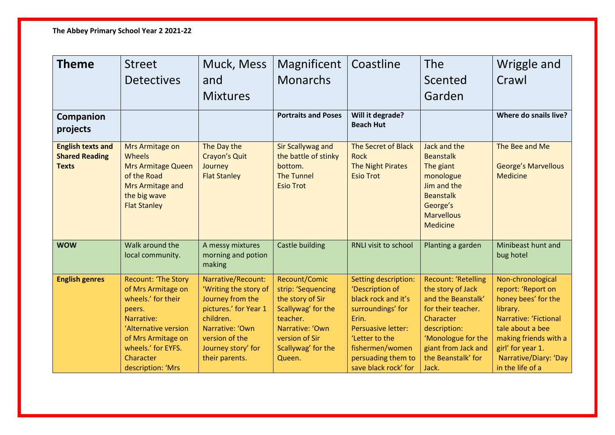| <b>Theme</b>                                                      | <b>Street</b><br><b>Detectives</b>                                                                                                                                                                   | Muck, Mess<br>and<br><b>Mixtures</b>                                                                                                                                               | Magnificent<br><b>Monarchs</b>                                                                                                                                 | Coastline                                                                                                                                                                                                    | <b>The</b><br>Scented<br>Garden                                                                                                                                                                      | Wriggle and<br>Crawl                                                                                                                                                                                                      |
|-------------------------------------------------------------------|------------------------------------------------------------------------------------------------------------------------------------------------------------------------------------------------------|------------------------------------------------------------------------------------------------------------------------------------------------------------------------------------|----------------------------------------------------------------------------------------------------------------------------------------------------------------|--------------------------------------------------------------------------------------------------------------------------------------------------------------------------------------------------------------|------------------------------------------------------------------------------------------------------------------------------------------------------------------------------------------------------|---------------------------------------------------------------------------------------------------------------------------------------------------------------------------------------------------------------------------|
| Companion<br>projects                                             |                                                                                                                                                                                                      |                                                                                                                                                                                    | <b>Portraits and Poses</b>                                                                                                                                     | Will it degrade?<br><b>Beach Hut</b>                                                                                                                                                                         |                                                                                                                                                                                                      | Where do snails live?                                                                                                                                                                                                     |
| <b>English texts and</b><br><b>Shared Reading</b><br><b>Texts</b> | Mrs Armitage on<br><b>Wheels</b><br><b>Mrs Armitage Queen</b><br>of the Road<br>Mrs Armitage and<br>the big wave<br><b>Flat Stanley</b>                                                              | The Day the<br><b>Crayon's Quit</b><br>Journey<br><b>Flat Stanley</b>                                                                                                              | <b>Sir Scallywag and</b><br>the battle of stinky<br>bottom.<br><b>The Tunnel</b><br><b>Esio Trot</b>                                                           | The Secret of Black<br><b>Rock</b><br><b>The Night Pirates</b><br><b>Esio Trot</b>                                                                                                                           | Jack and the<br><b>Beanstalk</b><br>The giant<br>monologue<br>Jim and the<br><b>Beanstalk</b><br>George's<br><b>Marvellous</b><br><b>Medicine</b>                                                    | The Bee and Me<br><b>George's Marvellous</b><br><b>Medicine</b>                                                                                                                                                           |
| <b>WOW</b>                                                        | Walk around the<br>local community.                                                                                                                                                                  | A messy mixtures<br>morning and potion<br>making                                                                                                                                   | Castle building                                                                                                                                                | RNLI visit to school                                                                                                                                                                                         | Planting a garden                                                                                                                                                                                    | Minibeast hunt and<br>bug hotel                                                                                                                                                                                           |
| <b>English genres</b>                                             | <b>Recount: 'The Story</b><br>of Mrs Armitage on<br>wheels.' for their<br>peers.<br>Narrative:<br>'Alternative version<br>of Mrs Armitage on<br>wheels.' for EYFS.<br>Character<br>description: 'Mrs | Narrative/Recount:<br>'Writing the story of<br>Journey from the<br>pictures.' for Year 1<br>children.<br>Narrative: 'Own<br>version of the<br>Journey story' for<br>their parents. | Recount/Comic<br>strip: 'Sequencing<br>the story of Sir<br>Scallywag' for the<br>teacher.<br>Narrative: 'Own<br>version of Sir<br>Scallywag' for the<br>Queen. | Setting description:<br>'Description of<br>black rock and it's<br>surroundings' for<br>Erin.<br><b>Persuasive letter:</b><br>'Letter to the<br>fishermen/women<br>persuading them to<br>save black rock' for | <b>Recount: 'Retelling</b><br>the story of Jack<br>and the Beanstalk'<br>for their teacher.<br>Character<br>description:<br>'Monologue for the<br>giant from Jack and<br>the Beanstalk' for<br>Jack. | Non-chronological<br>report: 'Report on<br>honey bees' for the<br>library.<br><b>Narrative: 'Fictional</b><br>tale about a bee<br>making friends with a<br>girl' for year 1.<br>Narrative/Diary: 'Day<br>in the life of a |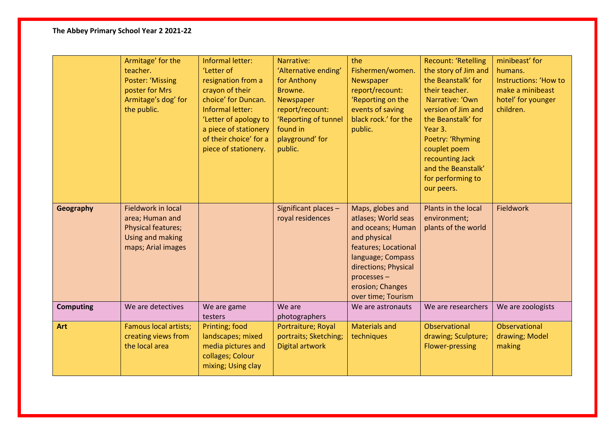## **The Abbey Primary School Year 2 2021-22**

|                  | Armitage' for the<br>teacher.<br><b>Poster: 'Missing</b><br>poster for Mrs<br>Armitage's dog' for<br>the public.    | Informal letter:<br>'Letter of<br>resignation from a<br>crayon of their<br>choice' for Duncan.<br>Informal letter:<br>'Letter of apology to<br>a piece of stationery<br>of their choice' for a<br>piece of stationery. | Narrative:<br>'Alternative ending'<br>for Anthony<br>Browne.<br>Newspaper<br>report/recount:<br>'Reporting of tunnel<br>found in<br>playground' for<br>public. | the<br>Fishermen/women.<br>Newspaper<br>report/recount:<br>'Reporting on the<br>events of saving<br>black rock.' for the<br>public.                                                                        | <b>Recount: 'Retelling</b><br>the story of Jim and<br>the Beanstalk' for<br>their teacher.<br>Narrative: 'Own<br>version of Jim and<br>the Beanstalk' for<br>Year 3.<br>Poetry: 'Rhyming<br>couplet poem<br>recounting Jack<br>and the Beanstalk'<br>for performing to<br>our peers. | minibeast' for<br>humans.<br><b>Instructions: 'How to</b><br>make a minibeast<br>hotel' for younger<br>children. |
|------------------|---------------------------------------------------------------------------------------------------------------------|------------------------------------------------------------------------------------------------------------------------------------------------------------------------------------------------------------------------|----------------------------------------------------------------------------------------------------------------------------------------------------------------|------------------------------------------------------------------------------------------------------------------------------------------------------------------------------------------------------------|--------------------------------------------------------------------------------------------------------------------------------------------------------------------------------------------------------------------------------------------------------------------------------------|------------------------------------------------------------------------------------------------------------------|
| Geography        | <b>Fieldwork in local</b><br>area; Human and<br><b>Physical features;</b><br>Using and making<br>maps; Arial images |                                                                                                                                                                                                                        | Significant places -<br>royal residences                                                                                                                       | Maps, globes and<br>atlases; World seas<br>and oceans; Human<br>and physical<br>features; Locational<br>language; Compass<br>directions; Physical<br>processes -<br>erosion; Changes<br>over time; Tourism | Plants in the local<br>environment;<br>plants of the world                                                                                                                                                                                                                           | <b>Fieldwork</b>                                                                                                 |
| <b>Computing</b> | We are detectives                                                                                                   | We are game<br>testers                                                                                                                                                                                                 | We are<br>photographers                                                                                                                                        | We are astronauts                                                                                                                                                                                          | We are researchers                                                                                                                                                                                                                                                                   | We are zoologists                                                                                                |
| <b>Art</b>       | <b>Famous local artists;</b><br>creating views from<br>the local area                                               | Printing; food<br>landscapes; mixed<br>media pictures and<br>collages; Colour<br>mixing; Using clay                                                                                                                    | Portraiture; Royal<br>portraits; Sketching;<br>Digital artwork                                                                                                 | <b>Materials and</b><br>techniques                                                                                                                                                                         | Observational<br>drawing; Sculpture;<br><b>Flower-pressing</b>                                                                                                                                                                                                                       | Observational<br>drawing; Model<br>making                                                                        |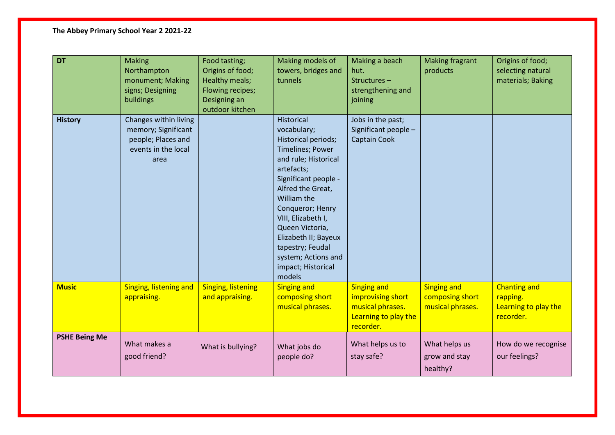## **The Abbey Primary School Year 2 2021-22**

| DT                   | <b>Making</b><br>Northampton<br>monument; Making<br>signs; Designing<br>buildings                 | Food tasting;<br>Origins of food;<br>Healthy meals;<br>Flowing recipes;<br>Designing an<br>outdoor kitchen | Making models of<br>towers, bridges and<br>tunnels                                                                                                                                                                                                                                                                                                   | Making a beach<br>hut.<br>Structures-<br>strengthening and<br>joining                            | <b>Making fragrant</b><br>products                        | Origins of food;<br>selecting natural<br>materials; Baking           |
|----------------------|---------------------------------------------------------------------------------------------------|------------------------------------------------------------------------------------------------------------|------------------------------------------------------------------------------------------------------------------------------------------------------------------------------------------------------------------------------------------------------------------------------------------------------------------------------------------------------|--------------------------------------------------------------------------------------------------|-----------------------------------------------------------|----------------------------------------------------------------------|
| <b>History</b>       | Changes within living<br>memory; Significant<br>people; Places and<br>events in the local<br>area |                                                                                                            | <b>Historical</b><br>vocabulary;<br>Historical periods;<br><b>Timelines; Power</b><br>and rule; Historical<br>artefacts;<br>Significant people -<br>Alfred the Great,<br>William the<br>Conqueror; Henry<br>VIII, Elizabeth I,<br>Queen Victoria,<br>Elizabeth II; Bayeux<br>tapestry; Feudal<br>system; Actions and<br>impact; Historical<br>models | Jobs in the past;<br>Significant people -<br>Captain Cook                                        |                                                           |                                                                      |
| <b>Music</b>         | Singing, listening and<br>appraising.                                                             | <b>Singing, listening</b><br>and appraising.                                                               | <b>Singing and</b><br>composing short<br>musical phrases.                                                                                                                                                                                                                                                                                            | <b>Singing and</b><br>improvising short<br>musical phrases.<br>Learning to play the<br>recorder. | <b>Singing and</b><br>composing short<br>musical phrases. | <b>Chanting and</b><br>rapping.<br>Learning to play the<br>recorder. |
| <b>PSHE Being Me</b> | What makes a<br>good friend?                                                                      | What is bullying?                                                                                          | What jobs do<br>people do?                                                                                                                                                                                                                                                                                                                           | What helps us to<br>stay safe?                                                                   | What helps us<br>grow and stay<br>healthy?                | How do we recognise<br>our feelings?                                 |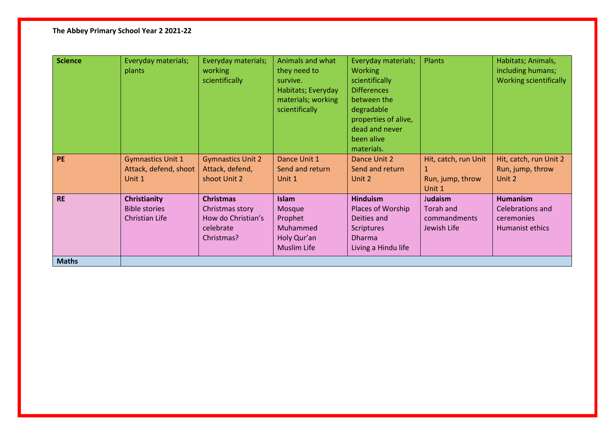## **The Abbey Primary School Year 2 2021-22**

| <b>Science</b> | Everyday materials;<br>plants | Everyday materials;<br><b>working</b><br>scientifically | Animals and what<br>they need to<br>survive.<br>Habitats; Everyday<br>materials; working<br>scientifically | Everyday materials;<br>Plants<br><b>Working</b><br>scientifically<br><b>Differences</b><br>between the<br>degradable<br>properties of alive,<br>dead and never<br>been alive<br>materials. |                            | Habitats; Animals,<br>including humans;<br><b>Working scientifically</b> |  |
|----------------|-------------------------------|---------------------------------------------------------|------------------------------------------------------------------------------------------------------------|--------------------------------------------------------------------------------------------------------------------------------------------------------------------------------------------|----------------------------|--------------------------------------------------------------------------|--|
| <b>PE</b>      | <b>Gymnastics Unit 1</b>      | <b>Gymnastics Unit 2</b>                                | Dance Unit 1                                                                                               | Dance Unit 2                                                                                                                                                                               | Hit, catch, run Unit       | Hit, catch, run Unit 2                                                   |  |
|                | Attack, defend, shoot         | Attack, defend,                                         | Send and return                                                                                            | Send and return                                                                                                                                                                            | 1                          | Run, jump, throw                                                         |  |
|                | Unit 1                        | shoot Unit 2                                            | Unit 1                                                                                                     | Unit 2                                                                                                                                                                                     | Run, jump, throw<br>Unit 1 | Unit 2                                                                   |  |
| <b>RE</b>      | Christianity                  | <b>Christmas</b>                                        | <b>Islam</b>                                                                                               | <b>Hinduism</b>                                                                                                                                                                            | Judaism                    | <b>Humanism</b>                                                          |  |
|                | <b>Bible stories</b>          | Christmas story                                         | Mosque                                                                                                     | Places of Worship                                                                                                                                                                          | Torah and                  | Celebrations and                                                         |  |
|                | Christian Life                | How do Christian's                                      | Prophet                                                                                                    | Deities and                                                                                                                                                                                | commandments               | ceremonies                                                               |  |
|                |                               | celebrate                                               | Muhammed                                                                                                   | <b>Scriptures</b>                                                                                                                                                                          | Jewish Life                | Humanist ethics                                                          |  |
|                |                               | Christmas?                                              | Holy Qur'an                                                                                                | <b>Dharma</b>                                                                                                                                                                              |                            |                                                                          |  |
|                |                               |                                                         | <b>Muslim Life</b>                                                                                         | Living a Hindu life                                                                                                                                                                        |                            |                                                                          |  |
| <b>Maths</b>   |                               |                                                         |                                                                                                            |                                                                                                                                                                                            |                            |                                                                          |  |